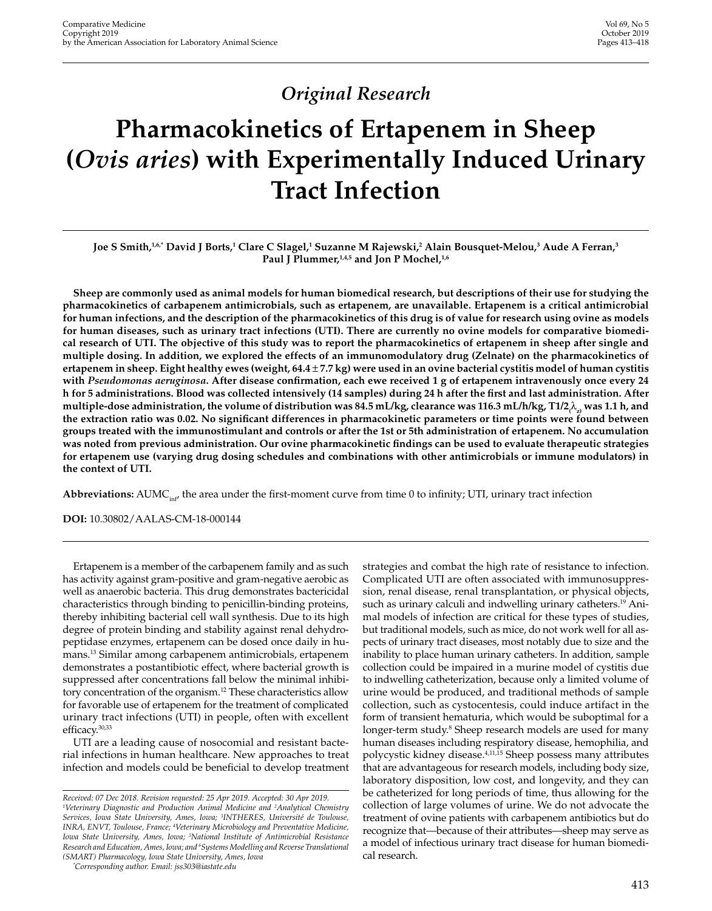# *Original Research*

# **Pharmacokinetics of Ertapenem in Sheep (***Ovis aries***) with Experimentally Induced Urinary Tract Infection**

## Joe S Smith,<sup>1,6,</sup>\* David J Borts,<sup>1</sup> Clare C Slagel,<sup>1</sup> Suzanne M Rajewski,<sup>2</sup> Alain Bousquet-Melou,<sup>3</sup> Aude A Ferran,<sup>3</sup> Paul J Plummer,<sup>1,4,5</sup> and Jon P Mochel,<sup>1,6</sup>

**Sheep are commonly used as animal models for human biomedical research, but descriptions of their use for studying the pharmacokinetics of carbapenem antimicrobials, such as ertapenem, are unavailable. Ertapenem is a critical antimicrobial for human infections, and the description of the pharmacokinetics of this drug is of value for research using ovine as models for human diseases, such as urinary tract infections (UTI). There are currently no ovine models for comparative biomedi‑ cal research of UTI. The objective of this study was to report the pharmacokinetics of ertapenem in sheep after single and multiple dosing. In addition, we explored the effects of an immunomodulatory drug (Zelnate) on the pharmacokinetics of ertapenem in sheep. Eight healthy ewes (weight, 64.4** ± **7.7 kg) were used in an ovine bacterial cystitis model of human cystitis with** *Pseudomonas aeruginosa***. After disease confirmation, each ewe received 1 g of ertapenem intravenously once every 24 h for 5 administrations. Blood was collected intensively (14 samples) during 24 h after the first and last administration. After multiple-dose administration, the volume of distribution was 84.5 mL/kg, clearance was 116.3 mL/h/kg, T1/2(** λ**z) was 1.1 h, and the extraction ratio was 0.02. No significant differences in pharmacokinetic parameters or time points were found between groups treated with the immunostimulant and controls or after the 1st or 5th administration of ertapenem. No accumulation was noted from previous administration. Our ovine pharmacokinetic findings can be used to evaluate therapeutic strategies for ertapenem use (varying drug dosing schedules and combinations with other antimicrobials or immune modulators) in the context of UTI.**

**Abbreviations:** AUMC<sub>ing</sub> the area under the first-moment curve from time 0 to infinity; UTI, urinary tract infection

**DOI:** 10.30802/AALAS-CM-18-000144

Ertapenem is a member of the carbapenem family and as such has activity against gram-positive and gram-negative aerobic as well as anaerobic bacteria. This drug demonstrates bactericidal characteristics through binding to penicillin-binding proteins, thereby inhibiting bacterial cell wall synthesis. Due to its high degree of protein binding and stability against renal dehydropeptidase enzymes, ertapenem can be dosed once daily in humans.13 Similar among carbapenem antimicrobials, ertapenem demonstrates a postantibiotic effect, where bacterial growth is suppressed after concentrations fall below the minimal inhibitory concentration of the organism.<sup>12</sup> These characteristics allow for favorable use of ertapenem for the treatment of complicated urinary tract infections (UTI) in people, often with excellent efficacy.30,33

UTI are a leading cause of nosocomial and resistant bacterial infections in human healthcare. New approaches to treat infection and models could be beneficial to develop treatment

*\* Corresponding author. Email: jss303@iastate.edu*

strategies and combat the high rate of resistance to infection. Complicated UTI are often associated with immunosuppression, renal disease, renal transplantation, or physical objects, such as urinary calculi and indwelling urinary catheters.<sup>19</sup> Animal models of infection are critical for these types of studies, but traditional models, such as mice, do not work well for all aspects of urinary tract diseases, most notably due to size and the inability to place human urinary catheters. In addition, sample collection could be impaired in a murine model of cystitis due to indwelling catheterization, because only a limited volume of urine would be produced, and traditional methods of sample collection, such as cystocentesis, could induce artifact in the form of transient hematuria, which would be suboptimal for a longer-term study.<sup>8</sup> Sheep research models are used for many human diseases including respiratory disease, hemophilia, and polycystic kidney disease.4,11,15 Sheep possess many attributes that are advantageous for research models, including body size, laboratory disposition, low cost, and longevity, and they can be catheterized for long periods of time, thus allowing for the collection of large volumes of urine. We do not advocate the treatment of ovine patients with carbapenem antibiotics but do recognize that—because of their attributes—sheep may serve as a model of infectious urinary tract disease for human biomedical research.

*Received: 07 Dec 2018. Revision requested: 25 Apr 2019. Accepted: 30 Apr 2019. 1 Veterinary Diagnostic and Production Animal Medicine and 2 Analytical Chemistry Services, Iowa State University, Ames, Iowa; 3 INTHERES, Université de Toulouse, INRA, ENVT, Toulouse, France; 4 Veterinary Microbiology and Preventative Medicine, Iowa State University, Ames, Iowa; 5 National Institute of Antimicrobial Resistance Research and Education, Ames, Iowa; and 6 Systems Modelling and Reverse Translational (SMART) Pharmacology, Iowa State University, Ames, Iowa*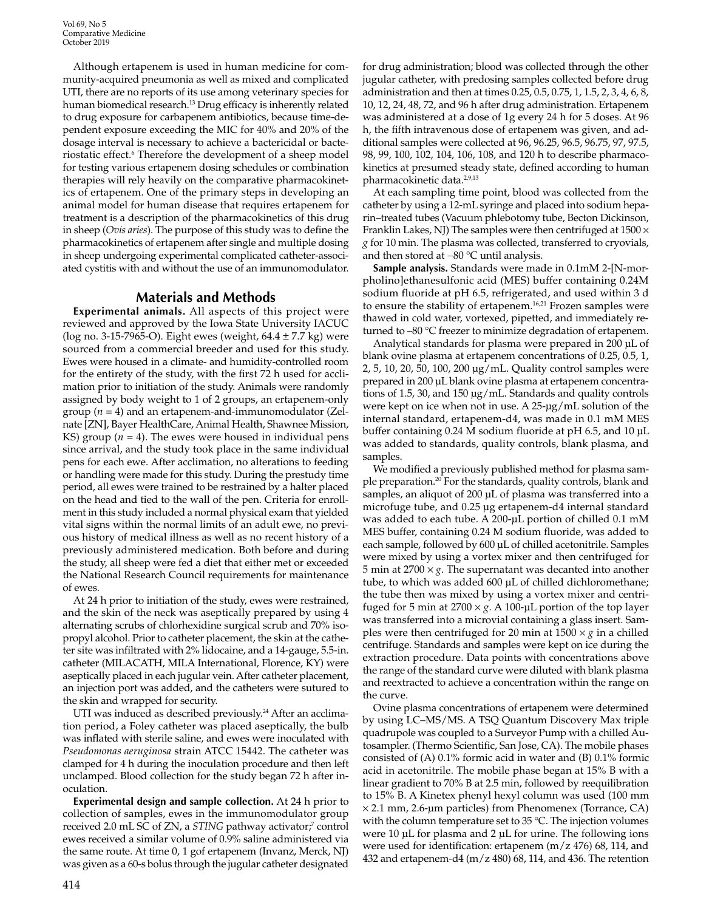Although ertapenem is used in human medicine for community-acquired pneumonia as well as mixed and complicated UTI, there are no reports of its use among veterinary species for human biomedical research.<sup>13</sup> Drug efficacy is inherently related to drug exposure for carbapenem antibiotics, because time-dependent exposure exceeding the MIC for 40% and 20% of the dosage interval is necessary to achieve a bactericidal or bacteriostatic effect.<sup>6</sup> Therefore the development of a sheep model for testing various ertapenem dosing schedules or combination therapies will rely heavily on the comparative pharmacokinetics of ertapenem. One of the primary steps in developing an animal model for human disease that requires ertapenem for treatment is a description of the pharmacokinetics of this drug in sheep (*Ovis aries*). The purpose of this study was to define the pharmacokinetics of ertapenem after single and multiple dosing in sheep undergoing experimental complicated catheter-associated cystitis with and without the use of an immunomodulator.

# **Materials and Methods**

**Experimental animals.** All aspects of this project were reviewed and approved by the Iowa State University IACUC (log no. 3-15-7965-O). Eight ewes (weight,  $64.4 \pm 7.7$  kg) were sourced from a commercial breeder and used for this study. Ewes were housed in a climate- and humidity-controlled room for the entirety of the study, with the first 72 h used for acclimation prior to initiation of the study. Animals were randomly assigned by body weight to 1 of 2 groups, an ertapenem-only group (*n* = 4) and an ertapenem-and-immunomodulator (Zelnate [ZN], Bayer HealthCare, Animal Health, Shawnee Mission, KS) group ( $n = 4$ ). The ewes were housed in individual pens since arrival, and the study took place in the same individual pens for each ewe. After acclimation, no alterations to feeding or handling were made for this study. During the prestudy time period, all ewes were trained to be restrained by a halter placed on the head and tied to the wall of the pen. Criteria for enrollment in this study included a normal physical exam that yielded vital signs within the normal limits of an adult ewe, no previous history of medical illness as well as no recent history of a previously administered medication. Both before and during the study, all sheep were fed a diet that either met or exceeded the National Research Council requirements for maintenance of ewes.

At 24 h prior to initiation of the study, ewes were restrained, and the skin of the neck was aseptically prepared by using 4 alternating scrubs of chlorhexidine surgical scrub and 70% isopropyl alcohol. Prior to catheter placement, the skin at the catheter site was infiltrated with 2% lidocaine, and a 14-gauge, 5.5-in. catheter (MILACATH, MILA International, Florence, KY) were aseptically placed in each jugular vein. After catheter placement, an injection port was added, and the catheters were sutured to the skin and wrapped for security.

UTI was induced as described previously.<sup>24</sup> After an acclimation period, a Foley catheter was placed aseptically, the bulb was inflated with sterile saline, and ewes were inoculated with *Pseudomonas aeruginosa* strain ATCC 15442. The catheter was clamped for 4 h during the inoculation procedure and then left unclamped. Blood collection for the study began 72 h after inoculation.

**Experimental design and sample collection.** At 24 h prior to collection of samples, ewes in the immunomodulator group received 2.0 mL SC of ZN, a *STING* pathway activator;<sup>7</sup> control ewes received a similar volume of 0.9% saline administered via the same route. At time 0, 1 gof ertapenem (Invanz, Merck, NJ) was given as a 60-s bolus through the jugular catheter designated

for drug administration; blood was collected through the other jugular catheter, with predosing samples collected before drug administration and then at times 0.25, 0.5, 0.75, 1, 1.5, 2, 3, 4, 6, 8, 10, 12, 24, 48, 72, and 96 h after drug administration. Ertapenem was administered at a dose of 1g every 24 h for 5 doses. At 96 h, the fifth intravenous dose of ertapenem was given, and additional samples were collected at 96, 96.25, 96.5, 96.75, 97, 97.5, 98, 99, 100, 102, 104, 106, 108, and 120 h to describe pharmacokinetics at presumed steady state, defined according to human pharmacokinetic data.2,9,13

At each sampling time point, blood was collected from the catheter by using a 12-mL syringe and placed into sodium heparin–treated tubes (Vacuum phlebotomy tube, Becton Dickinson, Franklin Lakes, NJ) The samples were then centrifuged at  $1500 \times$ *g* for 10 min. The plasma was collected, transferred to cryovials, and then stored at −80 °C until analysis.

**Sample analysis.** Standards were made in 0.1mM 2-[N-morpholino]ethanesulfonic acid (MES) buffer containing 0.24M sodium fluoride at pH 6.5, refrigerated, and used within 3 d to ensure the stability of ertapenem.<sup>16,21</sup> Frozen samples were thawed in cold water, vortexed, pipetted, and immediately returned to –80 °C freezer to minimize degradation of ertapenem.

Analytical standards for plasma were prepared in 200 µL of blank ovine plasma at ertapenem concentrations of 0.25, 0.5, 1, 2, 5, 10, 20, 50, 100, 200 µg/mL. Quality control samples were prepared in 200 µL blank ovine plasma at ertapenem concentrations of 1.5, 30, and 150 µg/mL. Standards and quality controls were kept on ice when not in use. A 25-µg/mL solution of the internal standard, ertapenem-d4, was made in 0.1 mM MES buffer containing 0.24 M sodium fluoride at pH 6.5, and 10 µL was added to standards, quality controls, blank plasma, and samples.

We modified a previously published method for plasma sample preparation.<sup>20</sup> For the standards, quality controls, blank and samples, an aliquot of 200 µL of plasma was transferred into a microfuge tube, and 0.25 µg ertapenem-d4 internal standard was added to each tube. A 200-µL portion of chilled 0.1 mM MES buffer, containing 0.24 M sodium fluoride, was added to each sample, followed by 600 µL of chilled acetonitrile. Samples were mixed by using a vortex mixer and then centrifuged for 5 min at 2700 × *g*. The supernatant was decanted into another tube, to which was added 600 µL of chilled dichloromethane; the tube then was mixed by using a vortex mixer and centrifuged for 5 min at  $2700 \times g$ . A 100-µL portion of the top layer was transferred into a microvial containing a glass insert. Samples were then centrifuged for 20 min at  $1500 \times g$  in a chilled centrifuge. Standards and samples were kept on ice during the extraction procedure. Data points with concentrations above the range of the standard curve were diluted with blank plasma and reextracted to achieve a concentration within the range on the curve.

Ovine plasma concentrations of ertapenem were determined by using LC–MS/MS. A TSQ Quantum Discovery Max triple quadrupole was coupled to a Surveyor Pump with a chilled Autosampler. (Thermo Scientific, San Jose, CA). The mobile phases consisted of (A) 0.1% formic acid in water and (B) 0.1% formic acid in acetonitrile. The mobile phase began at 15% B with a linear gradient to 70% B at 2.5 min, followed by reequilibration to 15% B. A Kinetex phenyl hexyl column was used (100 mm  $\times$  2.1 mm, 2.6-µm particles) from Phenomenex (Torrance, CA) with the column temperature set to 35 °C. The injection volumes were 10 µL for plasma and 2 µL for urine. The following ions were used for identification: ertapenem (m/z 476) 68, 114, and 432 and ertapenem-d4 (m/z 480) 68, 114, and 436. The retention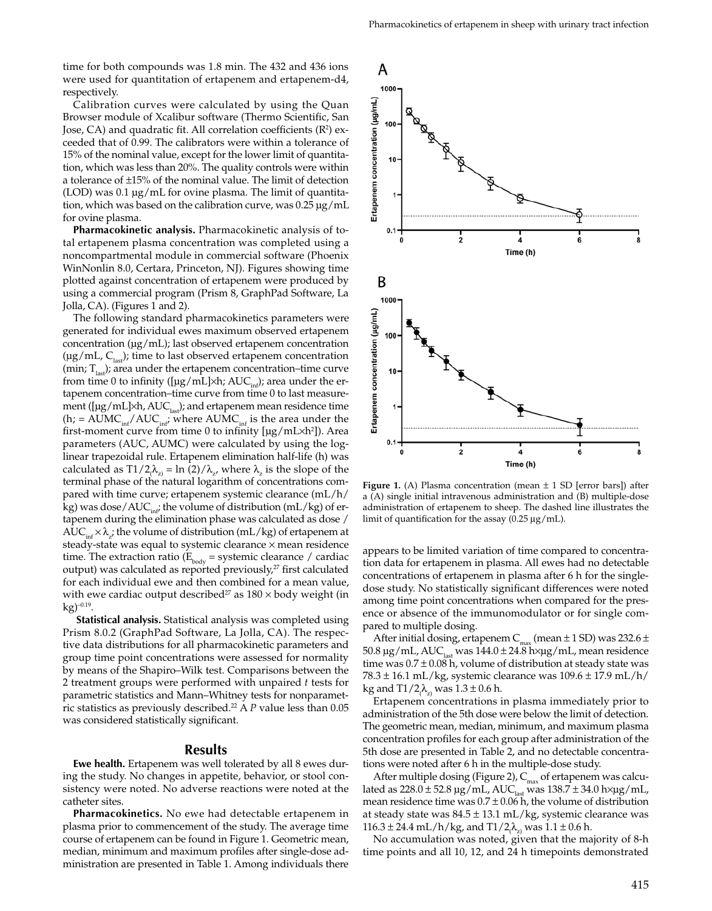time for both compounds was 1.8 min. The 432 and 436 ions were used for quantitation of ertapenem and ertapenem-d4, respectively.

Calibration curves were calculated by using the Quan Browser module of Xcalibur software (Thermo Scientific, San Jose, CA) and quadratic fit. All correlation coefficients  $(R^2)$  exceeded that of 0.99. The calibrators were within a tolerance of 15% of the nominal value, except for the lower limit of quantitation, which was less than 20%. The quality controls were within a tolerance of ±15% of the nominal value. The limit of detection (LOD) was 0.1 µg/mL for ovine plasma. The limit of quantitation, which was based on the calibration curve, was 0.25 µg/mL for ovine plasma.

**Pharmacokinetic analysis.** Pharmacokinetic analysis of total ertapenem plasma concentration was completed using a noncompartmental module in commercial software (Phoenix WinNonlin 8.0, Certara, Princeton, NJ). Figures showing time plotted against concentration of ertapenem were produced by using a commercial program (Prism 8, GraphPad Software, La Jolla, CA). (Figures 1 and 2).

The following standard pharmacokinetics parameters were generated for individual ewes maximum observed ertapenem concentration  $(\mu g/mL)$ ; last observed ertapenem concentration  $(\mu g/mL, C<sub>last</sub>)$ ; time to last observed ertapenem concentration (min;  $T_{\text{last}}$ ); area under the ertapenem concentration–time curve from time 0 to infinity ([ $\mu$ g/mL]×h; AUC<sub>inf</sub>); area under the ertapenem concentration–time curve from time 0 to last measurement ( $[\mu g/mL] \times h$ ,  $AUC_{\text{last}}$ ); and ertapenem mean residence time  $(h; = AUMC_{inf}/AUC_{inf}$ ; where  $AUMC_{inf}$  is the area under the first-moment curve from time 0 to infinity [µg/mL×h2 ]). Area parameters (AUC, AUMC) were calculated by using the loglinear trapezoidal rule. Ertapenem elimination half-life (h) was calculated as T1/2 $\lambda_z$  = ln (2)/ $\lambda_z$ , where  $\lambda_z$  is the slope of the terminal phase of the natural logarithm of concentrations compared with time curve; ertapenem systemic clearance (mL/h/ kg) was dose/AUC $_{int}$ ; the volume of distribution (mL/kg) of ertapenem during the elimination phase was calculated as dose /  $AUC_{\text{int}} \times \lambda_z$ ; the volume of distribution (mL/kg) of ertapenem at steady-state was equal to systemic clearance × mean residence time. The extraction ratio ( $E_{\text{body}}$  = systemic clearance / cardiac output) was calculated as reported previously,<sup>27</sup> first calculated for each individual ewe and then combined for a mean value, with ewe cardiac output described<sup>27</sup> as  $180 \times$  body weight (in  $kg)^{-0.19}$ .

 **Statistical analysis.** Statistical analysis was completed using Prism 8.0.2 (GraphPad Software, La Jolla, CA). The respective data distributions for all pharmacokinetic parameters and group time point concentrations were assessed for normality by means of the Shapiro–Wilk test. Comparisons between the 2 treatment groups were performed with unpaired *t* tests for parametric statistics and Mann–Whitney tests for nonparametric statistics as previously described.22 A *P* value less than 0.05 was considered statistically significant.

#### **Results**

**Ewe health.** Ertapenem was well tolerated by all 8 ewes during the study. No changes in appetite, behavior, or stool consistency were noted. No adverse reactions were noted at the catheter sites.

**Pharmacokinetics.** No ewe had detectable ertapenem in plasma prior to commencement of the study. The average time course of ertapenem can be found in Figure 1. Geometric mean, median, minimum and maximum profiles after single-dose administration are presented in Table 1. Among individuals there



**Figure 1.** (A) Plasma concentration (mean  $\pm$  1 SD [error bars]) after a (A) single initial intravenous administration and (B) multiple-dose administration of ertapenem to sheep. The dashed line illustrates the limit of quantification for the assay (0.25 μg/mL).

appears to be limited variation of time compared to concentration data for ertapenem in plasma. All ewes had no detectable concentrations of ertapenem in plasma after 6 h for the singledose study. No statistically significant differences were noted among time point concentrations when compared for the presence or absence of the immunomodulator or for single compared to multiple dosing.

After initial dosing, ertapenem  $C_{\text{max}}$  (mean  $\pm$  1 SD) was 232.6  $\pm$ 50.8  $\mu$ g/mL, AUC<sub>last</sub> was 144.0 ± 24.8 h× $\mu$ g/mL, mean residence time was  $0.7 \pm 0.08$  h, volume of distribution at steady state was 78.3 ± 16.1 mL/kg, systemic clearance was 109.6 ± 17.9 mL/h/ kg and T $1/2$   $\lambda_{\rm zj}$  was  $1.3$   $\pm$  0.6 h.

Ertapenem concentrations in plasma immediately prior to administration of the 5th dose were below the limit of detection. The geometric mean, median, minimum, and maximum plasma concentration profiles for each group after administration of the 5th dose are presented in Table 2, and no detectable concentrations were noted after 6 h in the multiple-dose study.

After multiple dosing (Figure 2),  $C_{\text{max}}$  of ertapenem was calculated as 228.0  $\pm$  52.8  $\mu$ g/mL, AUC $_{\rm last}$  was 138.7  $\pm$  34.0 h $\times$  $\mu$ g/mL, mean residence time was  $0.7 \pm 0.06$  h, the volume of distribution at steady state was  $84.5 \pm 13.1$  mL/kg, systemic clearance was  $116.3 \pm 24.4 \text{ mL/h/kg}$ , and  $T1/2<sub>(\lambda<sub>z</sub>)</sub>$  was  $1.1 \pm 0.6 \text{ h}$ .

No accumulation was noted, given that the majority of 8-h time points and all 10, 12, and 24 h timepoints demonstrated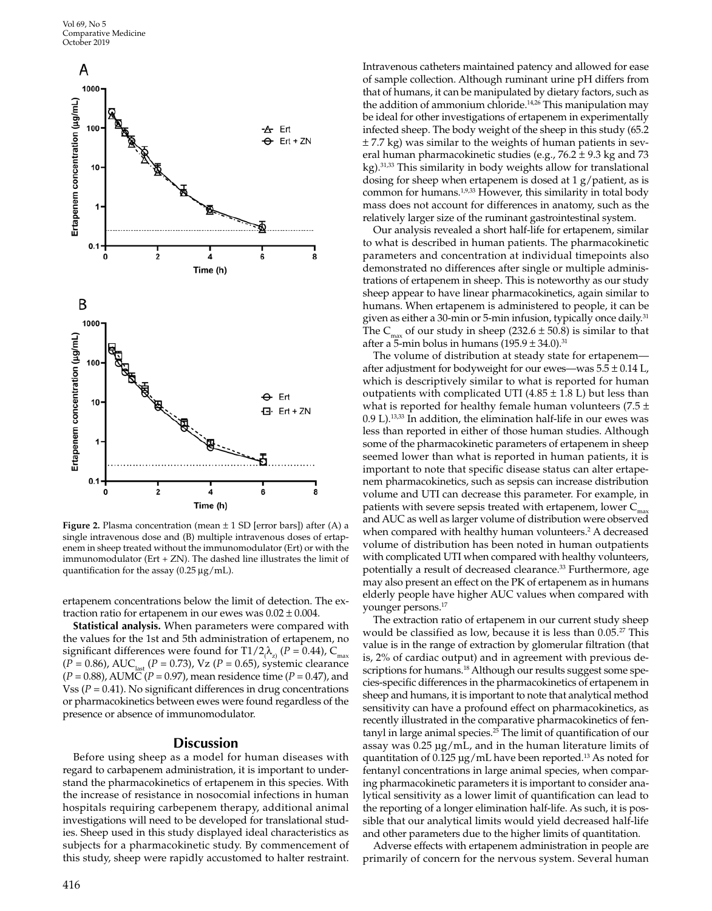Vol 69, No 5 Comparative Medicine October 2019



**Figure 2.** Plasma concentration (mean  $\pm$  1 SD [error bars]) after (A) a single intravenous dose and (B) multiple intravenous doses of ertapenem in sheep treated without the immunomodulator (Ert) or with the immunomodulator (Ert + ZN). The dashed line illustrates the limit of quantification for the assay (0.25 μg/mL).

ertapenem concentrations below the limit of detection. The extraction ratio for ertapenem in our ewes was  $0.02 \pm 0.004$ .

**Statistical analysis.** When parameters were compared with the values for the 1st and 5th administration of ertapenem, no significant differences were found for T1/2<sub>(</sub> $\lambda_{z}$ ) (*P* = 0.44), C<sub>max</sub>  $(P = 0.86)$ , AUC<sub>last</sub> (*P* = 0.73), Vz (*P* = 0.65), systemic clearance (*P* = 0.88), AUMC (*P* = 0.97), mean residence time (*P* = 0.47), and Vss (*P* = 0.41). No significant differences in drug concentrations or pharmacokinetics between ewes were found regardless of the presence or absence of immunomodulator.

#### **Discussion**

Before using sheep as a model for human diseases with regard to carbapenem administration, it is important to understand the pharmacokinetics of ertapenem in this species. With the increase of resistance in nosocomial infections in human hospitals requiring carbepenem therapy, additional animal investigations will need to be developed for translational studies. Sheep used in this study displayed ideal characteristics as subjects for a pharmacokinetic study. By commencement of this study, sheep were rapidly accustomed to halter restraint. Intravenous catheters maintained patency and allowed for ease of sample collection. Although ruminant urine pH differs from that of humans, it can be manipulated by dietary factors, such as the addition of ammonium chloride.<sup>14,26</sup> This manipulation may be ideal for other investigations of ertapenem in experimentally infected sheep. The body weight of the sheep in this study (65.2  $\pm$  7.7 kg) was similar to the weights of human patients in several human pharmacokinetic studies (e.g.,  $76.2 \pm 9.3$  kg and  $73$ kg).<sup>31,33</sup> This similarity in body weights allow for translational dosing for sheep when ertapenem is dosed at 1 g/patient, as is common for humans.1,9,33 However, this similarity in total body mass does not account for differences in anatomy, such as the relatively larger size of the ruminant gastrointestinal system.

Our analysis revealed a short half-life for ertapenem, similar to what is described in human patients. The pharmacokinetic parameters and concentration at individual timepoints also demonstrated no differences after single or multiple administrations of ertapenem in sheep. This is noteworthy as our study sheep appear to have linear pharmacokinetics, again similar to humans. When ertapenem is administered to people, it can be given as either a 30-min or 5-min infusion, typically once daily.<sup>31</sup> The C<sub>max</sub> of our study in sheep (232.6  $\pm$  50.8) is similar to that after a 5-min bolus in humans  $(195.9 \pm 34.0)^{31}$ 

The volume of distribution at steady state for ertapenem after adjustment for bodyweight for our ewes—was  $5.5 \pm 0.14$  L, which is descriptively similar to what is reported for human outpatients with complicated UTI (4.85  $\pm$  1.8 L) but less than what is reported for healthy female human volunteers (7.5  $\pm$ 0.9 L).13,33 In addition, the elimination half-life in our ewes was less than reported in either of those human studies. Although some of the pharmacokinetic parameters of ertapenem in sheep seemed lower than what is reported in human patients, it is important to note that specific disease status can alter ertapenem pharmacokinetics, such as sepsis can increase distribution volume and UTI can decrease this parameter. For example, in patients with severe sepsis treated with ertapenem, lower  $C$ and AUC as well as larger volume of distribution were observed when compared with healthy human volunteers.<sup>2</sup> A decreased volume of distribution has been noted in human outpatients with complicated UTI when compared with healthy volunteers, potentially a result of decreased clearance.<sup>33</sup> Furthermore, age may also present an effect on the PK of ertapenem as in humans elderly people have higher AUC values when compared with younger persons.17

The extraction ratio of ertapenem in our current study sheep would be classified as low, because it is less than 0.05.27 This value is in the range of extraction by glomerular filtration (that is, 2% of cardiac output) and in agreement with previous descriptions for humans.<sup>18</sup> Although our results suggest some species-specific differences in the pharmacokinetics of ertapenem in sheep and humans, it is important to note that analytical method sensitivity can have a profound effect on pharmacokinetics, as recently illustrated in the comparative pharmacokinetics of fentanyl in large animal species.25 The limit of quantification of our assay was 0.25 µg/mL, and in the human literature limits of quantitation of  $0.125 \mu g/mL$  have been reported.<sup>13</sup> As noted for fentanyl concentrations in large animal species, when comparing pharmacokinetic parameters it is important to consider analytical sensitivity as a lower limit of quantification can lead to the reporting of a longer elimination half-life. As such, it is possible that our analytical limits would yield decreased half-life and other parameters due to the higher limits of quantitation.

Adverse effects with ertapenem administration in people are primarily of concern for the nervous system. Several human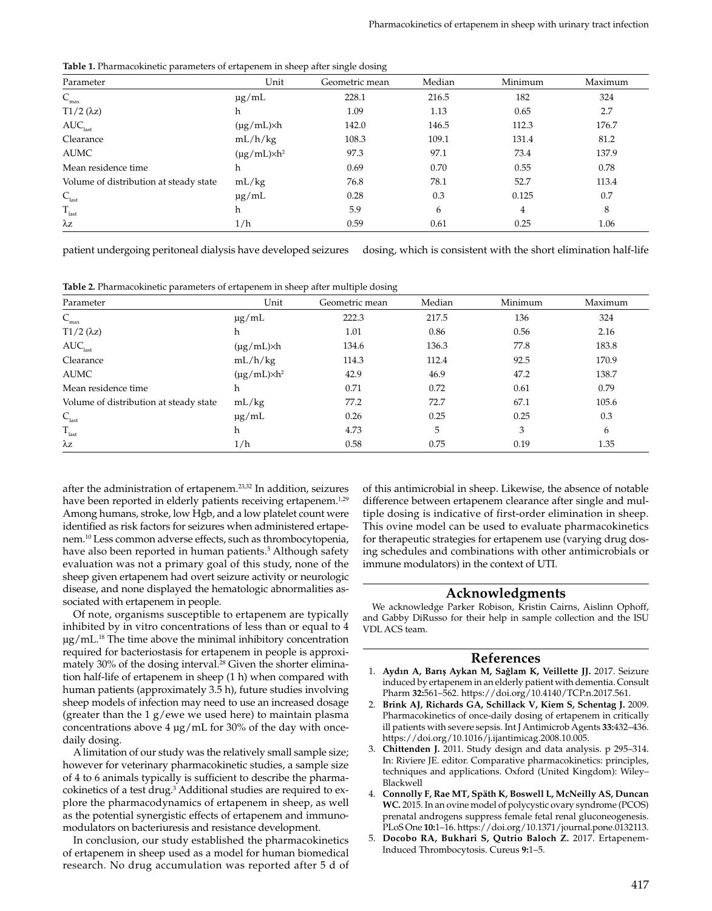**Table 1.** Pharmacokinetic parameters of ertapenem in sheep after single dosing

| Parameter                              | Unit                    | Geometric mean | Median | Minimum | Maximum |
|----------------------------------------|-------------------------|----------------|--------|---------|---------|
| $\mathsf{C}_{\max}$                    | $\mu$ g/mL              | 228.1          | 216.5  | 182     | 324     |
| $T1/2$ ( $\lambda$ z)                  | h                       | 1.09           | 1.13   | 0.65    | 2.7     |
| $\text{AUC}_\text{last}$               | $(\mu g/mL) \times h$   | 142.0          | 146.5  | 112.3   | 176.7   |
| Clearance                              | mL/h/kg                 | 108.3          | 109.1  | 131.4   | 81.2    |
| <b>AUMC</b>                            | $(\mu g/mL) \times h^2$ | 97.3           | 97.1   | 73.4    | 137.9   |
| Mean residence time                    | h                       | 0.69           | 0.70   | 0.55    | 0.78    |
| Volume of distribution at steady state | mL/kg                   | 76.8           | 78.1   | 52.7    | 113.4   |
| $C_{\rm last}$                         | $\mu$ g/mL              | 0.28           | 0.3    | 0.125   | 0.7     |
| $\rm T_{last}$                         | h                       | 5.9            | 6      | 4       | 8       |
| $\lambda z$                            | 1/h                     | 0.59           | 0.61   | 0.25    | 1.06    |

patient undergoing peritoneal dialysis have developed seizures dosing, which is consistent with the short elimination half-life

| Table 2. Pharmacokinetic parameters of ertapenem in sheep after multiple dosing |  |  |  |
|---------------------------------------------------------------------------------|--|--|--|
|---------------------------------------------------------------------------------|--|--|--|

| Parameter                              | Unit                    | Geometric mean | Median | Minimum | Maximum |
|----------------------------------------|-------------------------|----------------|--------|---------|---------|
| $\mathsf{C}_{\max}$                    | $\mu$ g/mL              | 222.3          | 217.5  | 136     | 324     |
| $T1/2$ ( $\lambda$ z)                  | h                       | 1.01           | 0.86   | 0.56    | 2.16    |
| AUC <sub>last</sub>                    | $(\mu g/mL) \times h$   | 134.6          | 136.3  | 77.8    | 183.8   |
| Clearance                              | mL/h/kg                 | 114.3          | 112.4  | 92.5    | 170.9   |
| <b>AUMC</b>                            | $(\mu g/mL) \times h^2$ | 42.9           | 46.9   | 47.2    | 138.7   |
| Mean residence time                    | h                       | 0.71           | 0.72   | 0.61    | 0.79    |
| Volume of distribution at steady state | mL/kg                   | 77.2           | 72.7   | 67.1    | 105.6   |
| $C_{\mbox{\tiny last}}$                | $\mu$ g/mL              | 0.26           | 0.25   | 0.25    | 0.3     |
| $\rm T_{\rm last}$                     | h                       | 4.73           | 5      | 3       | 6       |
| $\lambda z$                            | 1/h                     | 0.58           | 0.75   | 0.19    | 1.35    |

after the administration of ertapenem.23,32 In addition, seizures have been reported in elderly patients receiving ertapenem.<sup>1,29</sup> Among humans, stroke, low Hgb, and a low platelet count were identified as risk factors for seizures when administered ertapenem.10 Less common adverse effects, such as thrombocytopenia, have also been reported in human patients.<sup>5</sup> Although safety evaluation was not a primary goal of this study, none of the sheep given ertapenem had overt seizure activity or neurologic disease, and none displayed the hematologic abnormalities associated with ertapenem in people.

Of note, organisms susceptible to ertapenem are typically inhibited by in vitro concentrations of less than or equal to 4  $\mu$ g/mL.<sup>18</sup> The time above the minimal inhibitory concentration required for bacteriostasis for ertapenem in people is approximately 30% of the dosing interval.<sup>28</sup> Given the shorter elimination half-life of ertapenem in sheep (1 h) when compared with human patients (approximately 3.5 h), future studies involving sheep models of infection may need to use an increased dosage (greater than the 1 g/ewe we used here) to maintain plasma concentrations above 4 µg/mL for 30% of the day with oncedaily dosing.

A limitation of our study was the relatively small sample size; however for veterinary pharmacokinetic studies, a sample size of 4 to 6 animals typically is sufficient to describe the pharmacokinetics of a test drug.<sup>3</sup> Additional studies are required to explore the pharmacodynamics of ertapenem in sheep, as well as the potential synergistic effects of ertapenem and immunomodulators on bacteriuresis and resistance development.

In conclusion, our study established the pharmacokinetics of ertapenem in sheep used as a model for human biomedical research. No drug accumulation was reported after 5 d of of this antimicrobial in sheep. Likewise, the absence of notable difference between ertapenem clearance after single and multiple dosing is indicative of first-order elimination in sheep. This ovine model can be used to evaluate pharmacokinetics for therapeutic strategies for ertapenem use (varying drug dosing schedules and combinations with other antimicrobials or immune modulators) in the context of UTI.

# **Acknowledgments**

We acknowledge Parker Robison, Kristin Cairns, Aislinn Ophoff, and Gabby DiRusso for their help in sample collection and the ISU VDL ACS team.

### **References**

- 1. **Aydın A, Barış Aykan M, Sağlam K, Veillette JJ.** 2017. Seizure induced by ertapenem in an elderly patient with dementia. Consult Pharm **32:**561–562. https://doi.org/10.4140/TCP.n.2017.561.
- 2. **Brink AJ, Richards GA, Schillack V, Kiem S, Schentag J.** 2009. Pharmacokinetics of once-daily dosing of ertapenem in critically ill patients with severe sepsis. Int J Antimicrob Agents **33:**432–436. https://doi.org/10.1016/j.ijantimicag.2008.10.005.
- 3. **Chittenden J.** 2011. Study design and data analysis. p 295–314. In: Riviere JE. editor. Comparative pharmacokinetics: principles, techniques and applications. Oxford (United Kingdom): Wiley– Blackwell
- 4. **Connolly F, Rae MT, Späth K, Boswell L, McNeilly AS, Duncan WC.** 2015. In an ovine model of polycystic ovary syndrome (PCOS) prenatal androgens suppress female fetal renal gluconeogenesis. PLoS One **10:**1–16. https://doi.org/10.1371/journal.pone.0132113.
- 5. **Docobo RA, Bukhari S, Qutrio Baloch Z.** 2017. Ertapenem-Induced Thrombocytosis. Cureus **9:**1–5.